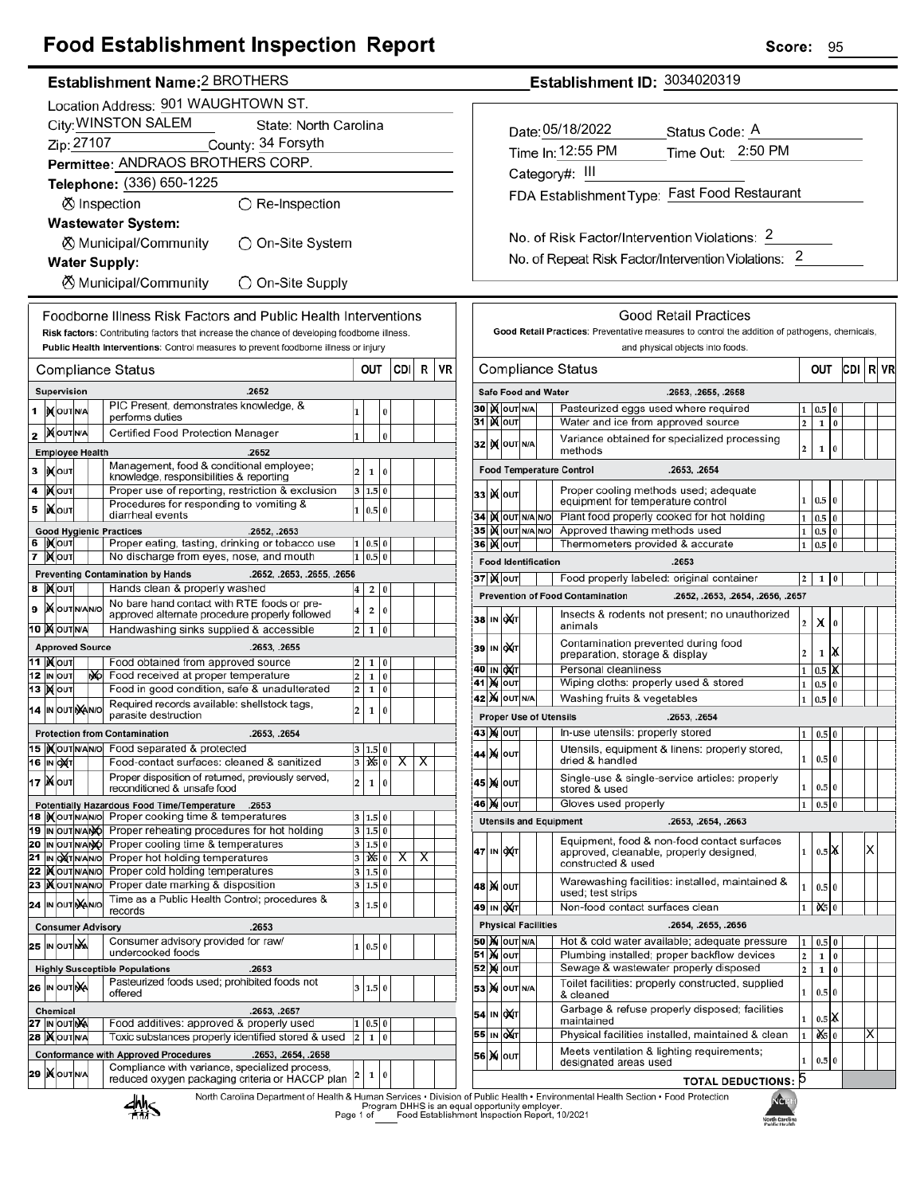## **Food Establishment Inspection Report**

### Establishment Name: 2 BROTHERS

|                           | Location Address: 901 WAUGHTOWN ST.                                                                                                         |                                        |  |    |                                                                                                                                                                                      |                         |                           |           |     |          |    |  |
|---------------------------|---------------------------------------------------------------------------------------------------------------------------------------------|----------------------------------------|--|----|--------------------------------------------------------------------------------------------------------------------------------------------------------------------------------------|-------------------------|---------------------------|-----------|-----|----------|----|--|
|                           | City: WINSTON SALEM<br>State: North Carolina                                                                                                |                                        |  |    |                                                                                                                                                                                      |                         |                           |           |     |          |    |  |
|                           | Zip: 27107<br>County: 34 Forsyth                                                                                                            |                                        |  |    |                                                                                                                                                                                      |                         |                           |           |     |          |    |  |
|                           | Permittee: ANDRAOS BROTHERS CORP.                                                                                                           |                                        |  |    |                                                                                                                                                                                      |                         |                           |           |     |          |    |  |
| Telephone: (336) 650-1225 |                                                                                                                                             |                                        |  |    |                                                                                                                                                                                      |                         |                           |           |     |          |    |  |
|                           | ◯ Re-Inspection<br><b>⊗</b> Inspection                                                                                                      |                                        |  |    |                                                                                                                                                                                      |                         |                           |           |     |          |    |  |
|                           | <b>Wastewater System:</b>                                                                                                                   |                                        |  |    |                                                                                                                                                                                      |                         |                           |           |     |          |    |  |
|                           | ⊗ Municipal/Community<br>◯ On-Site System                                                                                                   |                                        |  |    |                                                                                                                                                                                      |                         |                           |           |     |          |    |  |
| <b>Water Supply:</b>      |                                                                                                                                             |                                        |  |    |                                                                                                                                                                                      |                         |                           |           |     |          |    |  |
|                           |                                                                                                                                             |                                        |  |    | ⊗ Municipal/Community<br>$\bigcirc$ On-Site Supply                                                                                                                                   |                         |                           |           |     |          |    |  |
|                           |                                                                                                                                             |                                        |  |    | Foodborne Illness Risk Factors and Public Health Interventions                                                                                                                       |                         |                           |           |     |          |    |  |
|                           |                                                                                                                                             |                                        |  |    | Risk factors: Contributing factors that increase the chance of developing foodborne illness.<br>Public Health Interventions: Control measures to prevent foodborne illness or injury |                         |                           |           |     |          |    |  |
|                           |                                                                                                                                             |                                        |  |    | <b>Compliance Status</b>                                                                                                                                                             |                         | OUT                       |           | CDI | R        | VR |  |
|                           |                                                                                                                                             | Supervision                            |  |    | .2652                                                                                                                                                                                |                         |                           |           |     |          |    |  |
| 1                         |                                                                                                                                             | IN OUT N/A                             |  |    | PIC Present, demonstrates knowledge, &                                                                                                                                               | 1                       |                           | 0         |     |          |    |  |
|                           |                                                                                                                                             |                                        |  |    | performs duties                                                                                                                                                                      |                         |                           |           |     |          |    |  |
| 2                         |                                                                                                                                             | <b>XOUTNA</b>                          |  |    | Certified Food Protection Manager                                                                                                                                                    | $\mathbf{1}$            |                           | $\bf{0}$  |     |          |    |  |
| 3                         |                                                                                                                                             | <b>Employee Health</b><br><b>XOUT</b>  |  |    | .2652<br>Management, food & conditional employee;                                                                                                                                    | 2                       |                           | 0         |     |          |    |  |
| 4                         |                                                                                                                                             | ∣)X∣oυτ                                |  |    | knowledge, responsibilities & reporting<br>Proper use of reporting, restriction & exclusion                                                                                          | 3                       | 1<br>1.5                  | 0         |     |          |    |  |
| 5                         |                                                                                                                                             | <b>KOUT</b>                            |  |    | Procedures for responding to vomiting &                                                                                                                                              | $\mathbf{1}$            | 0.5                       | $\bf{0}$  |     |          |    |  |
|                           |                                                                                                                                             |                                        |  |    | diarrheal events                                                                                                                                                                     |                         |                           |           |     |          |    |  |
|                           |                                                                                                                                             | 6  )Х∣о∪т                              |  |    | <b>Good Hygienic Practices</b><br>.2652, .2653<br>Proper eating, tasting, drinking or tobacco use                                                                                    | 1                       | 0.5                       | 0         |     |          |    |  |
| 7                         |                                                                                                                                             | <b>X</b> OUT                           |  |    | No discharge from eyes, nose, and mouth                                                                                                                                              | 1                       | 0.5                       | $\bf{0}$  |     |          |    |  |
|                           | .2652, .2653, .2655, .2656<br><b>Preventing Contamination by Hands</b><br>Hands clean & properly washed<br><b>X</b> OUT<br>8<br>2<br>0<br>4 |                                        |  |    |                                                                                                                                                                                      |                         |                           |           |     |          |    |  |
| 9                         |                                                                                                                                             | <b>X</b> OUTINANO                      |  |    | No bare hand contact with RTE foods or pre-                                                                                                                                          |                         |                           |           |     |          |    |  |
|                           |                                                                                                                                             | 10 X OUTNA                             |  |    | approved alternate procedure properly followed<br>Handwashing sinks supplied & accessible                                                                                            | 4<br>2                  | 2<br>1                    | 0<br>0    |     |          |    |  |
|                           | <b>Approved Source</b><br>.2653, .2655                                                                                                      |                                        |  |    |                                                                                                                                                                                      |                         |                           |           |     |          |    |  |
|                           |                                                                                                                                             | 11  ) <b>χ</b>   ουτ                   |  |    | Food obtained from approved source                                                                                                                                                   | 2                       | 1                         | 0         |     |          |    |  |
|                           |                                                                                                                                             | 12 IN OUT<br>13   Молт                 |  | ŊЮ | Food received at proper temperature<br>Food in good condition, safe & unadulterated                                                                                                  | 2<br>2                  | 1<br>$\mathbf{1}$         | 0<br>0    |     |          |    |  |
|                           |                                                                                                                                             | 14 IN OUT NANO                         |  |    | Required records available: shellstock tags,                                                                                                                                         | $\overline{\mathbf{c}}$ | 1                         | $\bf{0}$  |     |          |    |  |
|                           |                                                                                                                                             |                                        |  |    | parasite destruction                                                                                                                                                                 |                         |                           |           |     |          |    |  |
|                           |                                                                                                                                             |                                        |  |    | <b>Protection from Contamination</b><br>.2653, .2654<br>15  Xout NANO Food separated & protected                                                                                     | 3                       | 1.5                       |           |     |          |    |  |
|                           |                                                                                                                                             | 16 IN OXT                              |  |    | Food-contact surfaces: cleaned & sanitized                                                                                                                                           |                         | $3 \mathbf{X} \mathbf{0}$ |           | X   | $\times$ |    |  |
|                           |                                                                                                                                             | 17   Nout                              |  |    | Proper disposition of returned, previously served,<br>reconditioned & unsafe food                                                                                                    | 2                       | 1                         | $\pmb{0}$ |     |          |    |  |
|                           |                                                                                                                                             |                                        |  |    | Potentially Hazardous Food Time/Temperature .2653                                                                                                                                    |                         |                           |           |     |          |    |  |
|                           |                                                                                                                                             | 18  IX OUT N/AN/O<br>19 IN OUT N/ANO   |  |    | Proper cooking time & temperatures                                                                                                                                                   | 3                       | 1.5 0                     |           |     |          |    |  |
|                           |                                                                                                                                             | 20 IN OUT N/ANO                        |  |    | Proper reheating procedures for hot holding<br>Proper cooling time & temperatures                                                                                                    | 3<br>3                  | 1.5 0<br>1.5 0            |           |     |          |    |  |
|                           |                                                                                                                                             | 21 IN OUT N/AN/O                       |  |    | Proper hot holding temperatures                                                                                                                                                      | 3                       | 1X5 0                     |           | х   | Х        |    |  |
|                           |                                                                                                                                             | 22   OUTNANO<br>23   OUTNANO           |  |    | Proper cold holding temperatures<br>Proper date marking & disposition                                                                                                                | 3<br>3                  | 1.5 0<br>1.5              | $\bf{0}$  |     |          |    |  |
|                           |                                                                                                                                             | 24 IN OUT MANO                         |  |    | Time as a Public Health Control; procedures &                                                                                                                                        | 3                       | 1.5                       | $\bf{0}$  |     |          |    |  |
|                           |                                                                                                                                             |                                        |  |    | records<br><b>Consumer Advisory</b><br>.2653                                                                                                                                         |                         |                           |           |     |          |    |  |
|                           |                                                                                                                                             | 25 IN OUTING                           |  |    | Consumer advisory provided for raw/                                                                                                                                                  | 1                       | 0.5 0                     |           |     |          |    |  |
|                           |                                                                                                                                             |                                        |  |    | undercooked foods<br>.2653                                                                                                                                                           |                         |                           |           |     |          |    |  |
|                           |                                                                                                                                             | <b>26 IN OUT NA</b>                    |  |    | <b>Highly Susceptible Populations</b><br>Pasteurized foods used; prohibited foods not                                                                                                | 3                       | 1.5                       | $\bf{0}$  |     |          |    |  |
|                           |                                                                                                                                             |                                        |  |    | offered                                                                                                                                                                              |                         |                           |           |     |          |    |  |
|                           |                                                                                                                                             | <b>Chemical</b><br><b>27 IN OUT NA</b> |  |    | .2653, .2657<br>Food additives: approved & properly used                                                                                                                             | 1                       | 0.5                       | 0         |     |          |    |  |
|                           |                                                                                                                                             | <b>28   OUT N/A</b>                    |  |    | Toxic substances properly identified stored & used                                                                                                                                   | $\overline{\mathbf{c}}$ | 1                         | 0         |     |          |    |  |
|                           |                                                                                                                                             |                                        |  |    | <b>Conformance with Approved Procedures</b><br>.2653, .2654, .2658<br>Compliance with variance, specialized process,                                                                 |                         |                           |           |     |          |    |  |
|                           |                                                                                                                                             | 29   OUTNA                             |  |    | reduced oxygen packaging criteria or HACCP plan                                                                                                                                      | 2                       | 1                         | $\pmb{0}$ |     |          |    |  |
|                           |                                                                                                                                             |                                        |  |    |                                                                                                                                                                                      |                         |                           |           |     |          |    |  |

Establishment ID: 3034020319

| Date: 05/18/2022                              | Status Code: A                               |
|-----------------------------------------------|----------------------------------------------|
| Time In: 12:55 PM                             | Time Out: 2:50 PM                            |
| Category#: III                                |                                              |
|                                               | FDA Establishment Type: Fast Food Restaurant |
|                                               |                                              |
| No. of Risk Factor/Intervention Violations: 2 |                                              |

No. of Repeat Risk Factor/Intervention Violations: 2

| 30  <br>31<br>32<br>331<br>34<br>35<br>36  ) <b>X</b>  оυт<br>37  ) χ ουτ<br>38<br>IN<br>39<br>40<br>IN<br>41<br>M<br>M<br>42<br>43<br>441<br>45   ) (i<br>46   ) (i<br>47<br>IN | IX OUT N/A<br><b>K</b> lout<br>IX OUT N/A<br><b>X</b> lout<br>IX OUT N/A N/O<br>IX OUT N/A<br><b>Food Identification</b><br>ох(т<br>IN ONT<br>∣oX∕π<br>OUT<br><b>X</b> OUT<br><b>X</b> OUT | OUT N/A | <b>Safe Food and Water</b><br>.2653, .2655, .2658<br>Pasteurized eggs used where required<br>Water and ice from approved source<br>Variance obtained for specialized processing<br>methods<br><b>Food Temperature Control</b><br>.2653. .2654<br>Proper cooling methods used; adequate<br>equipment for temperature control<br>Plant food properly cooked for hot holding<br>Approved thawing methods used<br>N/O<br>Thermometers provided & accurate<br>.2653<br>Food properly labeled: original container<br><b>Prevention of Food Contamination</b><br>Insects & rodents not present; no unauthorized<br>animals<br>Contamination prevented during food<br>preparation, storage & display<br>Personal cleanliness<br>Wiping cloths: properly used & stored<br>Washing fruits & vegetables<br><b>Proper Use of Utensils</b><br>.2653, .2654<br>In-use utensils: properly stored<br>Utensils, equipment & linens: properly stored,<br>dried & handled | 1<br>$\overline{\mathbf{c}}$<br>2<br>1<br>1<br>$\mathbf{1}$<br>1<br>2<br>.2652, .2653, .2654, .2656, .2657<br>2<br>2<br>1<br>1<br>1<br>1<br>1 | $_{0.5}$<br>$\mathbf{1}$<br>1<br>0.5<br>0.5<br>0.5<br>0.5<br>1<br>х<br>1<br>0.5<br>0.5<br>0.5<br>0.5 0 | 0<br>$\bf{0}$<br>0<br>$\bf{0}$<br>0<br>0<br>$\bf{0}$<br>0<br>0<br>x<br>X<br>0<br>0 |  |   |
|----------------------------------------------------------------------------------------------------------------------------------------------------------------------------------|--------------------------------------------------------------------------------------------------------------------------------------------------------------------------------------------|---------|--------------------------------------------------------------------------------------------------------------------------------------------------------------------------------------------------------------------------------------------------------------------------------------------------------------------------------------------------------------------------------------------------------------------------------------------------------------------------------------------------------------------------------------------------------------------------------------------------------------------------------------------------------------------------------------------------------------------------------------------------------------------------------------------------------------------------------------------------------------------------------------------------------------------------------------------------------|-----------------------------------------------------------------------------------------------------------------------------------------------|--------------------------------------------------------------------------------------------------------|------------------------------------------------------------------------------------|--|---|
|                                                                                                                                                                                  |                                                                                                                                                                                            |         |                                                                                                                                                                                                                                                                                                                                                                                                                                                                                                                                                                                                                                                                                                                                                                                                                                                                                                                                                        |                                                                                                                                               |                                                                                                        |                                                                                    |  |   |
|                                                                                                                                                                                  |                                                                                                                                                                                            |         |                                                                                                                                                                                                                                                                                                                                                                                                                                                                                                                                                                                                                                                                                                                                                                                                                                                                                                                                                        |                                                                                                                                               |                                                                                                        |                                                                                    |  |   |
|                                                                                                                                                                                  |                                                                                                                                                                                            |         |                                                                                                                                                                                                                                                                                                                                                                                                                                                                                                                                                                                                                                                                                                                                                                                                                                                                                                                                                        |                                                                                                                                               |                                                                                                        |                                                                                    |  |   |
|                                                                                                                                                                                  |                                                                                                                                                                                            |         |                                                                                                                                                                                                                                                                                                                                                                                                                                                                                                                                                                                                                                                                                                                                                                                                                                                                                                                                                        |                                                                                                                                               |                                                                                                        |                                                                                    |  |   |
|                                                                                                                                                                                  |                                                                                                                                                                                            |         |                                                                                                                                                                                                                                                                                                                                                                                                                                                                                                                                                                                                                                                                                                                                                                                                                                                                                                                                                        |                                                                                                                                               |                                                                                                        |                                                                                    |  |   |
|                                                                                                                                                                                  |                                                                                                                                                                                            |         |                                                                                                                                                                                                                                                                                                                                                                                                                                                                                                                                                                                                                                                                                                                                                                                                                                                                                                                                                        |                                                                                                                                               |                                                                                                        |                                                                                    |  |   |
|                                                                                                                                                                                  |                                                                                                                                                                                            |         |                                                                                                                                                                                                                                                                                                                                                                                                                                                                                                                                                                                                                                                                                                                                                                                                                                                                                                                                                        |                                                                                                                                               |                                                                                                        |                                                                                    |  |   |
|                                                                                                                                                                                  |                                                                                                                                                                                            |         |                                                                                                                                                                                                                                                                                                                                                                                                                                                                                                                                                                                                                                                                                                                                                                                                                                                                                                                                                        |                                                                                                                                               |                                                                                                        |                                                                                    |  |   |
|                                                                                                                                                                                  |                                                                                                                                                                                            |         |                                                                                                                                                                                                                                                                                                                                                                                                                                                                                                                                                                                                                                                                                                                                                                                                                                                                                                                                                        |                                                                                                                                               |                                                                                                        |                                                                                    |  |   |
|                                                                                                                                                                                  |                                                                                                                                                                                            |         |                                                                                                                                                                                                                                                                                                                                                                                                                                                                                                                                                                                                                                                                                                                                                                                                                                                                                                                                                        |                                                                                                                                               |                                                                                                        |                                                                                    |  |   |
|                                                                                                                                                                                  |                                                                                                                                                                                            |         |                                                                                                                                                                                                                                                                                                                                                                                                                                                                                                                                                                                                                                                                                                                                                                                                                                                                                                                                                        |                                                                                                                                               |                                                                                                        |                                                                                    |  |   |
|                                                                                                                                                                                  |                                                                                                                                                                                            |         |                                                                                                                                                                                                                                                                                                                                                                                                                                                                                                                                                                                                                                                                                                                                                                                                                                                                                                                                                        |                                                                                                                                               |                                                                                                        |                                                                                    |  |   |
|                                                                                                                                                                                  |                                                                                                                                                                                            |         |                                                                                                                                                                                                                                                                                                                                                                                                                                                                                                                                                                                                                                                                                                                                                                                                                                                                                                                                                        |                                                                                                                                               |                                                                                                        |                                                                                    |  |   |
|                                                                                                                                                                                  |                                                                                                                                                                                            |         |                                                                                                                                                                                                                                                                                                                                                                                                                                                                                                                                                                                                                                                                                                                                                                                                                                                                                                                                                        |                                                                                                                                               |                                                                                                        |                                                                                    |  |   |
|                                                                                                                                                                                  |                                                                                                                                                                                            |         |                                                                                                                                                                                                                                                                                                                                                                                                                                                                                                                                                                                                                                                                                                                                                                                                                                                                                                                                                        |                                                                                                                                               |                                                                                                        |                                                                                    |  |   |
|                                                                                                                                                                                  |                                                                                                                                                                                            |         |                                                                                                                                                                                                                                                                                                                                                                                                                                                                                                                                                                                                                                                                                                                                                                                                                                                                                                                                                        |                                                                                                                                               |                                                                                                        |                                                                                    |  |   |
|                                                                                                                                                                                  |                                                                                                                                                                                            |         |                                                                                                                                                                                                                                                                                                                                                                                                                                                                                                                                                                                                                                                                                                                                                                                                                                                                                                                                                        |                                                                                                                                               |                                                                                                        |                                                                                    |  |   |
|                                                                                                                                                                                  |                                                                                                                                                                                            |         |                                                                                                                                                                                                                                                                                                                                                                                                                                                                                                                                                                                                                                                                                                                                                                                                                                                                                                                                                        |                                                                                                                                               |                                                                                                        |                                                                                    |  |   |
|                                                                                                                                                                                  |                                                                                                                                                                                            |         |                                                                                                                                                                                                                                                                                                                                                                                                                                                                                                                                                                                                                                                                                                                                                                                                                                                                                                                                                        |                                                                                                                                               |                                                                                                        |                                                                                    |  |   |
|                                                                                                                                                                                  |                                                                                                                                                                                            |         |                                                                                                                                                                                                                                                                                                                                                                                                                                                                                                                                                                                                                                                                                                                                                                                                                                                                                                                                                        |                                                                                                                                               | 0.5 0                                                                                                  |                                                                                    |  |   |
|                                                                                                                                                                                  | Single-use & single-service articles: properly<br>OUT<br>stored & used                                                                                                                     |         |                                                                                                                                                                                                                                                                                                                                                                                                                                                                                                                                                                                                                                                                                                                                                                                                                                                                                                                                                        |                                                                                                                                               | $0.5\vert 0$                                                                                           |                                                                                    |  |   |
|                                                                                                                                                                                  | OUT                                                                                                                                                                                        |         | Gloves used properly                                                                                                                                                                                                                                                                                                                                                                                                                                                                                                                                                                                                                                                                                                                                                                                                                                                                                                                                   | $\mathbf{1}$                                                                                                                                  | 0.5                                                                                                    | $\bf{0}$                                                                           |  |   |
|                                                                                                                                                                                  |                                                                                                                                                                                            |         | <b>Utensils and Equipment</b><br>.2653, .2654, .2663                                                                                                                                                                                                                                                                                                                                                                                                                                                                                                                                                                                                                                                                                                                                                                                                                                                                                                   |                                                                                                                                               |                                                                                                        |                                                                                    |  |   |
|                                                                                                                                                                                  | ∣ox(⊤                                                                                                                                                                                      |         | Equipment, food & non-food contact surfaces<br>approved, cleanable, properly designed,<br>constructed & used                                                                                                                                                                                                                                                                                                                                                                                                                                                                                                                                                                                                                                                                                                                                                                                                                                           | 1                                                                                                                                             | $0.5$ X                                                                                                |                                                                                    |  | X |
|                                                                                                                                                                                  | 48   <b>X</b>   оит                                                                                                                                                                        |         | Warewashing facilities: installed, maintained &<br>used; test strips                                                                                                                                                                                                                                                                                                                                                                                                                                                                                                                                                                                                                                                                                                                                                                                                                                                                                   | 1                                                                                                                                             | 0.5 0                                                                                                  |                                                                                    |  |   |
| 49                                                                                                                                                                               | IN QAT                                                                                                                                                                                     |         | Non-food contact surfaces clean                                                                                                                                                                                                                                                                                                                                                                                                                                                                                                                                                                                                                                                                                                                                                                                                                                                                                                                        | 1                                                                                                                                             | 0\$                                                                                                    | $\bf{0}$                                                                           |  |   |
|                                                                                                                                                                                  | <b>Physical Facilities</b>                                                                                                                                                                 |         | .2654, .2655, .2656                                                                                                                                                                                                                                                                                                                                                                                                                                                                                                                                                                                                                                                                                                                                                                                                                                                                                                                                    |                                                                                                                                               |                                                                                                        |                                                                                    |  |   |
| <b>50 M</b> OUT N/A                                                                                                                                                              |                                                                                                                                                                                            |         | Hot & cold water available; adequate pressure                                                                                                                                                                                                                                                                                                                                                                                                                                                                                                                                                                                                                                                                                                                                                                                                                                                                                                          | 1                                                                                                                                             | 0.5                                                                                                    | 0                                                                                  |  |   |
| 51   <b>Χ</b> Ιουτ                                                                                                                                                               |                                                                                                                                                                                            |         | Plumbing installed; proper backflow devices                                                                                                                                                                                                                                                                                                                                                                                                                                                                                                                                                                                                                                                                                                                                                                                                                                                                                                            | 2                                                                                                                                             | 1                                                                                                      | 0                                                                                  |  |   |
| 52 X ouт                                                                                                                                                                         |                                                                                                                                                                                            |         | Sewage & wastewater properly disposed                                                                                                                                                                                                                                                                                                                                                                                                                                                                                                                                                                                                                                                                                                                                                                                                                                                                                                                  | $\overline{\mathbf{c}}$                                                                                                                       | $\mathbf{1}$                                                                                           | 0                                                                                  |  |   |
| 53 X OUT N/A                                                                                                                                                                     |                                                                                                                                                                                            |         | Toilet facilities: properly constructed, supplied<br>& cleaned                                                                                                                                                                                                                                                                                                                                                                                                                                                                                                                                                                                                                                                                                                                                                                                                                                                                                         | 1                                                                                                                                             | 0.5 0                                                                                                  |                                                                                    |  |   |
| 54 IN OXT                                                                                                                                                                        |                                                                                                                                                                                            |         | Garbage & refuse properly disposed; facilities<br>maintained                                                                                                                                                                                                                                                                                                                                                                                                                                                                                                                                                                                                                                                                                                                                                                                                                                                                                           | 1                                                                                                                                             | $0.5$ $\chi$                                                                                           |                                                                                    |  |   |
| 55                                                                                                                                                                               | IN OUT                                                                                                                                                                                     |         | Physical facilities installed, maintained & clean<br>Meets ventilation & lighting requirements;                                                                                                                                                                                                                                                                                                                                                                                                                                                                                                                                                                                                                                                                                                                                                                                                                                                        | $\mathbf 1$                                                                                                                                   | òś.                                                                                                    | $\bf{0}$                                                                           |  | X |

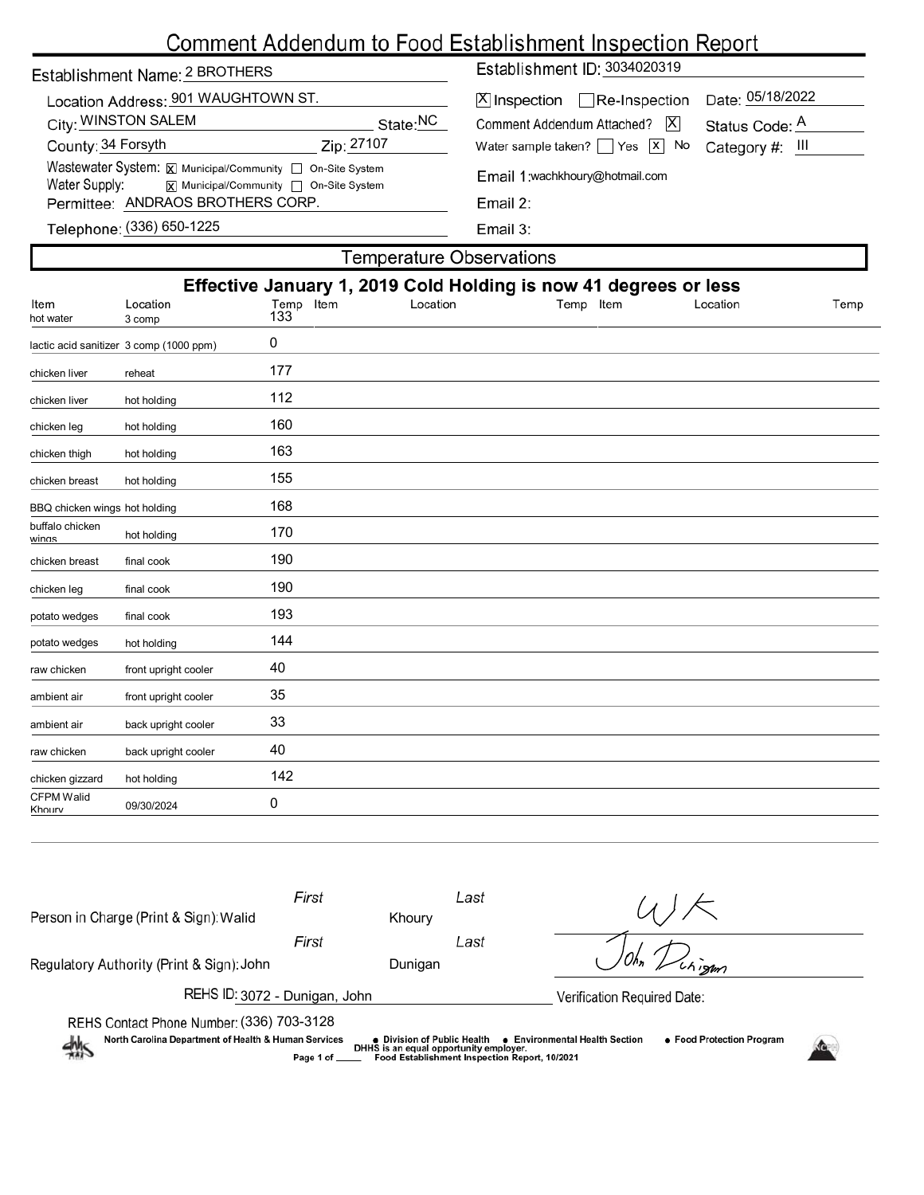# Comment Addendum to Food Establishment Inspection Report

| Date: 05/18/2022<br>Location Address: 901 WAUGHTOWN ST.<br>$[X]$ Inspection $\Box$ Re-Inspection                                                                      |  |  |  |  |  |  |  |  |
|-----------------------------------------------------------------------------------------------------------------------------------------------------------------------|--|--|--|--|--|--|--|--|
|                                                                                                                                                                       |  |  |  |  |  |  |  |  |
| City: WINSTON SALEM<br>State: <sup>NC</sup><br> X <br>Comment Addendum Attached?<br>Status Code: A                                                                    |  |  |  |  |  |  |  |  |
| County: 34 Forsyth<br>Zip: 27107<br>Water sample taken? $\Box$ Yes $\Box$ No<br>Category $#$ : $   $                                                                  |  |  |  |  |  |  |  |  |
| Wastewater System: X Municipal/Community   On-Site System<br>Email 1:wachkhoury@hotmail.com<br>Water Supply: $\overline{x}$ Municipal/Community $\Box$ On-Site System |  |  |  |  |  |  |  |  |
| Permittee: ANDRAOS BROTHERS CORP.<br>Email 2:                                                                                                                         |  |  |  |  |  |  |  |  |
| Telephone: (336) 650-1225<br>Email 3:                                                                                                                                 |  |  |  |  |  |  |  |  |
| Temperature Observations                                                                                                                                              |  |  |  |  |  |  |  |  |

| Effective January 1, 2019 Cold Holding is now 41 degrees or less |                                         |                  |          |           |          |      |  |  |
|------------------------------------------------------------------|-----------------------------------------|------------------|----------|-----------|----------|------|--|--|
| Item<br>hot water                                                | Location<br>3 comp                      | Temp Item<br>133 | Location | Temp Item | Location | Temp |  |  |
|                                                                  |                                         |                  |          |           |          |      |  |  |
|                                                                  | lactic acid sanitizer 3 comp (1000 ppm) | 0                |          |           |          |      |  |  |
| chicken liver                                                    | reheat                                  | 177              |          |           |          |      |  |  |
| chicken liver                                                    | hot holding                             | 112              |          |           |          |      |  |  |
| chicken leg                                                      | hot holding                             | 160              |          |           |          |      |  |  |
| chicken thigh                                                    | hot holding                             | 163              |          |           |          |      |  |  |
| chicken breast                                                   | hot holding                             | 155              |          |           |          |      |  |  |
| BBQ chicken wings hot holding                                    |                                         | 168              |          |           |          |      |  |  |
| buffalo chicken<br>winas                                         | hot holding                             | 170              |          |           |          |      |  |  |
| chicken breast                                                   | final cook                              | 190              |          |           |          |      |  |  |
| chicken leg                                                      | final cook                              | 190              |          |           |          |      |  |  |
| potato wedges                                                    | final cook                              | 193              |          |           |          |      |  |  |
| potato wedges                                                    | hot holding                             | 144              |          |           |          |      |  |  |
| raw chicken                                                      | front upright cooler                    | 40               |          |           |          |      |  |  |
| ambient air                                                      | front upright cooler                    | 35               |          |           |          |      |  |  |
| ambient air                                                      | back upright cooler                     | 33               |          |           |          |      |  |  |
| raw chicken                                                      | back upright cooler                     | 40               |          |           |          |      |  |  |
| chicken gizzard                                                  | hot holding                             | 142              |          |           |          |      |  |  |
| <b>CFPM Walid</b><br>Khourv                                      | 09/30/2024                              | 0                |          |           |          |      |  |  |
|                                                                  |                                         |                  |          |           |          |      |  |  |

| Person in Charge (Print & Sign): Walid                                                                                                                                                                                                                                                | First | Khoury  | Last |                     |  |  |  |  |
|---------------------------------------------------------------------------------------------------------------------------------------------------------------------------------------------------------------------------------------------------------------------------------------|-------|---------|------|---------------------|--|--|--|--|
|                                                                                                                                                                                                                                                                                       | First |         | Last |                     |  |  |  |  |
| Regulatory Authority (Print & Sign): John                                                                                                                                                                                                                                             |       | Dunigan |      | $\overline{ch}$ ism |  |  |  |  |
| REHS ID: 3072 - Dunigan, John<br>Verification Required Date:                                                                                                                                                                                                                          |       |         |      |                     |  |  |  |  |
| REHS Contact Phone Number: (336) 703-3128                                                                                                                                                                                                                                             |       |         |      |                     |  |  |  |  |
| North Carolina Department of Health & Human Services<br>• Food Protection Program<br><b>Environmental Health Section</b><br>$\bullet\,$ Division of Public Health $\,$<br>煞<br>DHHS is an equal opportunity employer.<br>Food Establishment Inspection Report, 10/2021<br>Page 1 of _ |       |         |      |                     |  |  |  |  |